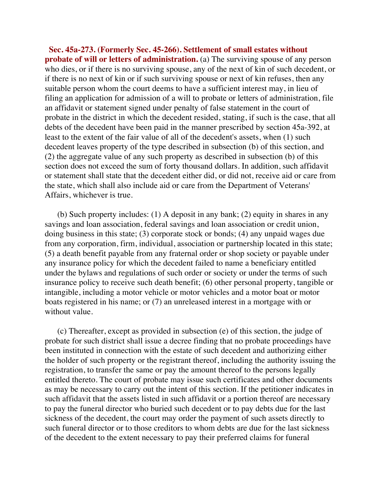**Sec. 45a-273. (Formerly Sec. 45-266). Settlement of small estates without probate of will or letters of administration.** (a) The surviving spouse of any person who dies, or if there is no surviving spouse, any of the next of kin of such decedent, or if there is no next of kin or if such surviving spouse or next of kin refuses, then any suitable person whom the court deems to have a sufficient interest may, in lieu of filing an application for admission of a will to probate or letters of administration, file an affidavit or statement signed under penalty of false statement in the court of probate in the district in which the decedent resided, stating, if such is the case, that all debts of the decedent have been paid in the manner prescribed by section 45a-392, at least to the extent of the fair value of all of the decedent's assets, when (1) such decedent leaves property of the type described in subsection (b) of this section, and (2) the aggregate value of any such property as described in subsection (b) of this section does not exceed the sum of forty thousand dollars. In addition, such affidavit or statement shall state that the decedent either did, or did not, receive aid or care from the state, which shall also include aid or care from the Department of Veterans' Affairs, whichever is true.

 (b) Such property includes: (1) A deposit in any bank; (2) equity in shares in any savings and loan association, federal savings and loan association or credit union, doing business in this state; (3) corporate stock or bonds; (4) any unpaid wages due from any corporation, firm, individual, association or partnership located in this state; (5) a death benefit payable from any fraternal order or shop society or payable under any insurance policy for which the decedent failed to name a beneficiary entitled under the bylaws and regulations of such order or society or under the terms of such insurance policy to receive such death benefit; (6) other personal property, tangible or intangible, including a motor vehicle or motor vehicles and a motor boat or motor boats registered in his name; or (7) an unreleased interest in a mortgage with or without value.

 (c) Thereafter, except as provided in subsection (e) of this section, the judge of probate for such district shall issue a decree finding that no probate proceedings have been instituted in connection with the estate of such decedent and authorizing either the holder of such property or the registrant thereof, including the authority issuing the registration, to transfer the same or pay the amount thereof to the persons legally entitled thereto. The court of probate may issue such certificates and other documents as may be necessary to carry out the intent of this section. If the petitioner indicates in such affidavit that the assets listed in such affidavit or a portion thereof are necessary to pay the funeral director who buried such decedent or to pay debts due for the last sickness of the decedent, the court may order the payment of such assets directly to such funeral director or to those creditors to whom debts are due for the last sickness of the decedent to the extent necessary to pay their preferred claims for funeral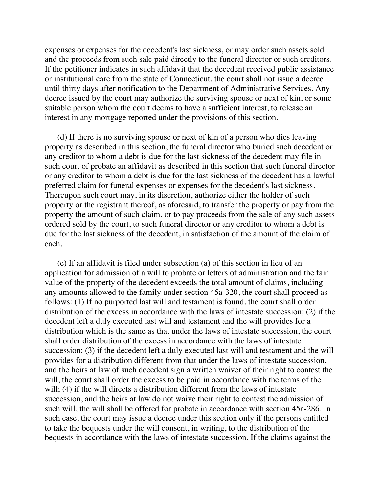expenses or expenses for the decedent's last sickness, or may order such assets sold and the proceeds from such sale paid directly to the funeral director or such creditors. If the petitioner indicates in such affidavit that the decedent received public assistance or institutional care from the state of Connecticut, the court shall not issue a decree until thirty days after notification to the Department of Administrative Services. Any decree issued by the court may authorize the surviving spouse or next of kin, or some suitable person whom the court deems to have a sufficient interest, to release an interest in any mortgage reported under the provisions of this section.

 (d) If there is no surviving spouse or next of kin of a person who dies leaving property as described in this section, the funeral director who buried such decedent or any creditor to whom a debt is due for the last sickness of the decedent may file in such court of probate an affidavit as described in this section that such funeral director or any creditor to whom a debt is due for the last sickness of the decedent has a lawful preferred claim for funeral expenses or expenses for the decedent's last sickness. Thereupon such court may, in its discretion, authorize either the holder of such property or the registrant thereof, as aforesaid, to transfer the property or pay from the property the amount of such claim, or to pay proceeds from the sale of any such assets ordered sold by the court, to such funeral director or any creditor to whom a debt is due for the last sickness of the decedent, in satisfaction of the amount of the claim of each.

 (e) If an affidavit is filed under subsection (a) of this section in lieu of an application for admission of a will to probate or letters of administration and the fair value of the property of the decedent exceeds the total amount of claims, including any amounts allowed to the family under section 45a-320, the court shall proceed as follows: (1) If no purported last will and testament is found, the court shall order distribution of the excess in accordance with the laws of intestate succession; (2) if the decedent left a duly executed last will and testament and the will provides for a distribution which is the same as that under the laws of intestate succession, the court shall order distribution of the excess in accordance with the laws of intestate succession; (3) if the decedent left a duly executed last will and testament and the will provides for a distribution different from that under the laws of intestate succession, and the heirs at law of such decedent sign a written waiver of their right to contest the will, the court shall order the excess to be paid in accordance with the terms of the will; (4) if the will directs a distribution different from the laws of intestate succession, and the heirs at law do not waive their right to contest the admission of such will, the will shall be offered for probate in accordance with section 45a-286. In such case, the court may issue a decree under this section only if the persons entitled to take the bequests under the will consent, in writing, to the distribution of the bequests in accordance with the laws of intestate succession. If the claims against the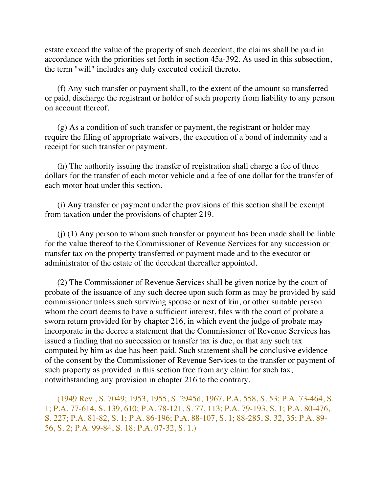estate exceed the value of the property of such decedent, the claims shall be paid in accordance with the priorities set forth in section 45a-392. As used in this subsection, the term "will" includes any duly executed codicil thereto.

 (f) Any such transfer or payment shall, to the extent of the amount so transferred or paid, discharge the registrant or holder of such property from liability to any person on account thereof.

 (g) As a condition of such transfer or payment, the registrant or holder may require the filing of appropriate waivers, the execution of a bond of indemnity and a receipt for such transfer or payment.

 (h) The authority issuing the transfer of registration shall charge a fee of three dollars for the transfer of each motor vehicle and a fee of one dollar for the transfer of each motor boat under this section.

 (i) Any transfer or payment under the provisions of this section shall be exempt from taxation under the provisions of chapter 219.

 (j) (1) Any person to whom such transfer or payment has been made shall be liable for the value thereof to the Commissioner of Revenue Services for any succession or transfer tax on the property transferred or payment made and to the executor or administrator of the estate of the decedent thereafter appointed.

 (2) The Commissioner of Revenue Services shall be given notice by the court of probate of the issuance of any such decree upon such form as may be provided by said commissioner unless such surviving spouse or next of kin, or other suitable person whom the court deems to have a sufficient interest, files with the court of probate a sworn return provided for by chapter 216, in which event the judge of probate may incorporate in the decree a statement that the Commissioner of Revenue Services has issued a finding that no succession or transfer tax is due, or that any such tax computed by him as due has been paid. Such statement shall be conclusive evidence of the consent by the Commissioner of Revenue Services to the transfer or payment of such property as provided in this section free from any claim for such tax, notwithstanding any provision in chapter 216 to the contrary.

 (1949 Rev., S. 7049; 1953, 1955, S. 2945d; 1967, P.A. 558, S. 53; P.A. 73-464, S. 1; P.A. 77-614, S. 139, 610; P.A. 78-121, S. 77, 113; P.A. 79-193, S. 1; P.A. 80-476, S. 227; P.A. 81-82, S. 1; P.A. 86-196; P.A. 88-107, S. 1; 88-285, S. 32, 35; P.A. 89- 56, S. 2; P.A. 99-84, S. 18; P.A. 07-32, S. 1.)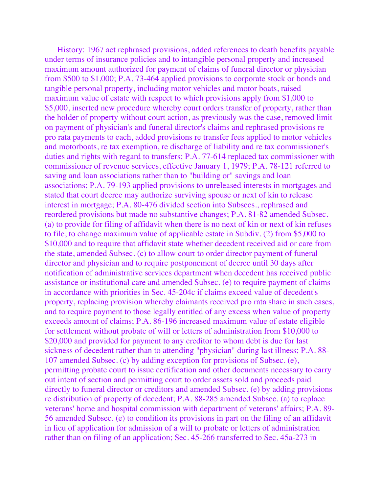History: 1967 act rephrased provisions, added references to death benefits payable under terms of insurance policies and to intangible personal property and increased maximum amount authorized for payment of claims of funeral director or physician from \$500 to \$1,000; P.A. 73-464 applied provisions to corporate stock or bonds and tangible personal property, including motor vehicles and motor boats, raised maximum value of estate with respect to which provisions apply from \$1,000 to \$5,000, inserted new procedure whereby court orders transfer of property, rather than the holder of property without court action, as previously was the case, removed limit on payment of physician's and funeral director's claims and rephrased provisions re pro rata payments to each, added provisions re transfer fees applied to motor vehicles and motorboats, re tax exemption, re discharge of liability and re tax commissioner's duties and rights with regard to transfers; P.A. 77-614 replaced tax commissioner with commissioner of revenue services, effective January 1, 1979; P.A. 78-121 referred to saving and loan associations rather than to "building or" savings and loan associations; P.A. 79-193 applied provisions to unreleased interests in mortgages and stated that court decree may authorize surviving spouse or next of kin to release interest in mortgage; P.A. 80-476 divided section into Subsecs., rephrased and reordered provisions but made no substantive changes; P.A. 81-82 amended Subsec. (a) to provide for filing of affidavit when there is no next of kin or next of kin refuses to file, to change maximum value of applicable estate in Subdiv. (2) from \$5,000 to \$10,000 and to require that affidavit state whether decedent received aid or care from the state, amended Subsec. (c) to allow court to order director payment of funeral director and physician and to require postponement of decree until 30 days after notification of administrative services department when decedent has received public assistance or institutional care and amended Subsec. (e) to require payment of claims in accordance with priorities in Sec. 45-204c if claims exceed value of decedent's property, replacing provision whereby claimants received pro rata share in such cases, and to require payment to those legally entitled of any excess when value of property exceeds amount of claims; P.A. 86-196 increased maximum value of estate eligible for settlement without probate of will or letters of administration from \$10,000 to \$20,000 and provided for payment to any creditor to whom debt is due for last sickness of decedent rather than to attending "physician" during last illness; P.A. 88- 107 amended Subsec. (c) by adding exception for provisions of Subsec. (e), permitting probate court to issue certification and other documents necessary to carry out intent of section and permitting court to order assets sold and proceeds paid directly to funeral director or creditors and amended Subsec. (e) by adding provisions re distribution of property of decedent; P.A. 88-285 amended Subsec. (a) to replace veterans' home and hospital commission with department of veterans' affairs; P.A. 89- 56 amended Subsec. (e) to condition its provisions in part on the filing of an affidavit in lieu of application for admission of a will to probate or letters of administration rather than on filing of an application; Sec. 45-266 transferred to Sec. 45a-273 in